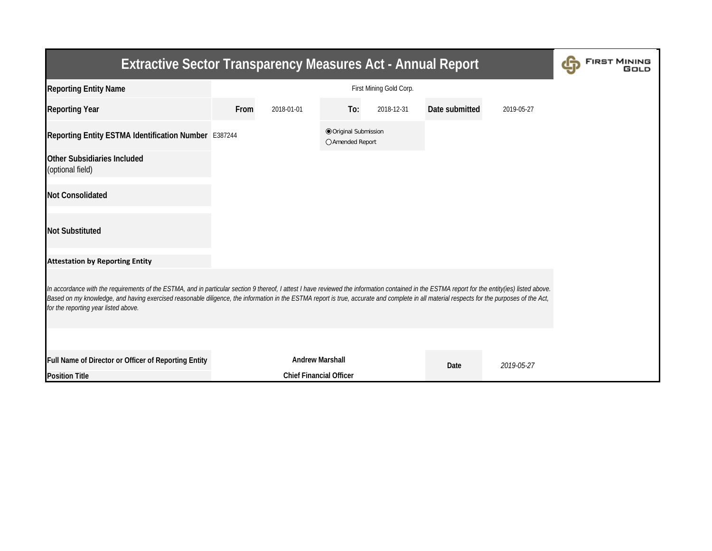| <b>Extractive Sector Transparency Measures Act - Annual Report</b>                                                                                                                                                                                                                                                                                                                                                                    | <b>FIRST MINING</b> |                                |                                         |            |                |            |  |  |  |  |  |
|---------------------------------------------------------------------------------------------------------------------------------------------------------------------------------------------------------------------------------------------------------------------------------------------------------------------------------------------------------------------------------------------------------------------------------------|---------------------|--------------------------------|-----------------------------------------|------------|----------------|------------|--|--|--|--|--|
| <b>Reporting Entity Name</b>                                                                                                                                                                                                                                                                                                                                                                                                          |                     |                                |                                         |            |                |            |  |  |  |  |  |
| <b>Reporting Year</b>                                                                                                                                                                                                                                                                                                                                                                                                                 | From                | 2018-01-01                     | To:                                     | 2018-12-31 | Date submitted | 2019-05-27 |  |  |  |  |  |
| Reporting Entity ESTMA Identification Number E387244                                                                                                                                                                                                                                                                                                                                                                                  |                     |                                | Original Submission<br>○ Amended Report |            |                |            |  |  |  |  |  |
| Other Subsidiaries Included<br>(optional field)                                                                                                                                                                                                                                                                                                                                                                                       |                     |                                |                                         |            |                |            |  |  |  |  |  |
| <b>Not Consolidated</b>                                                                                                                                                                                                                                                                                                                                                                                                               |                     |                                |                                         |            |                |            |  |  |  |  |  |
| <b>Not Substituted</b>                                                                                                                                                                                                                                                                                                                                                                                                                |                     |                                |                                         |            |                |            |  |  |  |  |  |
| <b>Attestation by Reporting Entity</b>                                                                                                                                                                                                                                                                                                                                                                                                |                     |                                |                                         |            |                |            |  |  |  |  |  |
| In accordance with the requirements of the ESTMA, and in particular section 9 thereof, I attest I have reviewed the information contained in the ESTMA report for the entity(ies) listed above.<br>Based on my knowledge, and having exercised reasonable diligence, the information in the ESTMA report is true, accurate and complete in all material respects for the purposes of the Act,<br>for the reporting year listed above. |                     |                                |                                         |            |                |            |  |  |  |  |  |
|                                                                                                                                                                                                                                                                                                                                                                                                                                       |                     |                                |                                         |            |                |            |  |  |  |  |  |
| Full Name of Director or Officer of Reporting Entity                                                                                                                                                                                                                                                                                                                                                                                  |                     | <b>Andrew Marshall</b>         |                                         |            | Date           | 2019-05-27 |  |  |  |  |  |
| <b>Position Title</b>                                                                                                                                                                                                                                                                                                                                                                                                                 |                     | <b>Chief Financial Officer</b> |                                         |            |                |            |  |  |  |  |  |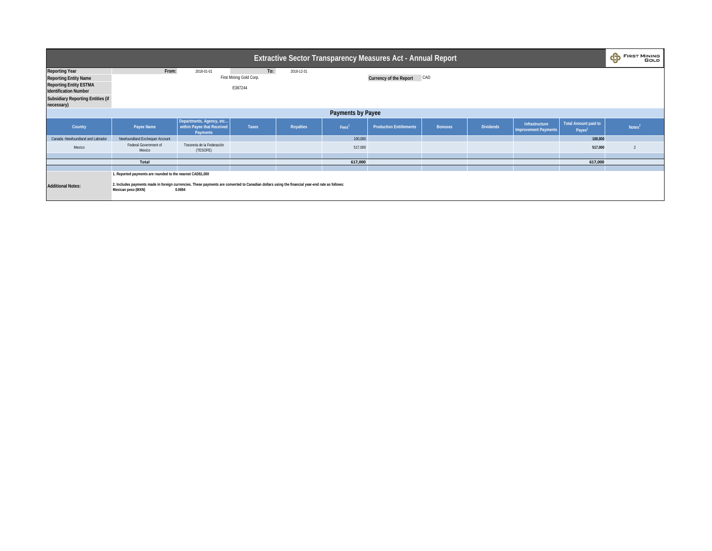| <b>Extractive Sector Transparency Measures Act - Annual Report</b>                                                                                                               |                                                                                                                                                                                                                                     |                                                                    |                                           |                  |                   |                                |                |                  |                                               |                                      | $\mathbf \Phi$ | <b>FIRST MINING</b><br>GoLD |
|----------------------------------------------------------------------------------------------------------------------------------------------------------------------------------|-------------------------------------------------------------------------------------------------------------------------------------------------------------------------------------------------------------------------------------|--------------------------------------------------------------------|-------------------------------------------|------------------|-------------------|--------------------------------|----------------|------------------|-----------------------------------------------|--------------------------------------|----------------|-----------------------------|
| <b>Reporting Year</b><br><b>Reporting Entity Name</b><br><b>Reporting Entity ESTMA</b><br><b>Identification Number</b><br><b>Subsidiary Reporting Entities (if</b><br>necessary) | From:                                                                                                                                                                                                                               | 2018-01-01                                                         | To:<br>First Mining Gold Corp.<br>E387244 | 2018-12-31       |                   | <b>Currency of the Report</b>  | CAD            |                  |                                               |                                      |                |                             |
| Payments by Payee                                                                                                                                                                |                                                                                                                                                                                                                                     |                                                                    |                                           |                  |                   |                                |                |                  |                                               |                                      |                |                             |
| Country                                                                                                                                                                          | Payee Name                                                                                                                                                                                                                          | Departments, Agency, etc<br>within Payee that Received<br>Payments | <b>Taxes</b>                              | <b>Royalties</b> | Fees <sup>1</sup> | <b>Production Entitlements</b> | <b>Bonuses</b> | <b>Dividends</b> | Infrastructure<br><b>Improvement Payments</b> | <b>Total Amount paid to</b><br>Payee |                | Notes <sup>2</sup>          |
| Canada -Newfoundland and Labrador                                                                                                                                                | Newfoundland Exchequer Account                                                                                                                                                                                                      |                                                                    |                                           |                  | 100,000           |                                |                |                  |                                               | 100,000                              |                |                             |
| Mexico                                                                                                                                                                           | Federal Government of<br>Mexico                                                                                                                                                                                                     | Tesoreria de la Federación<br>(TESOFE)                             |                                           |                  | 517,000           |                                |                |                  |                                               | 517,000                              |                |                             |
|                                                                                                                                                                                  |                                                                                                                                                                                                                                     |                                                                    |                                           |                  |                   |                                |                |                  |                                               |                                      |                |                             |
|                                                                                                                                                                                  | Total                                                                                                                                                                                                                               |                                                                    |                                           |                  | 617,000           |                                |                |                  |                                               | 617,000                              |                |                             |
| <b>Additional Notes:</b>                                                                                                                                                         | 1. Reported payments are rounded to the nearest CAD\$1,000<br>2. Includes payments made in foreign currencies. These payments are converted to Canadian dollars using the financial year-end rate as follows:<br>Mexican peso (MXN) | 0.0694                                                             |                                           |                  |                   |                                |                |                  |                                               |                                      |                |                             |